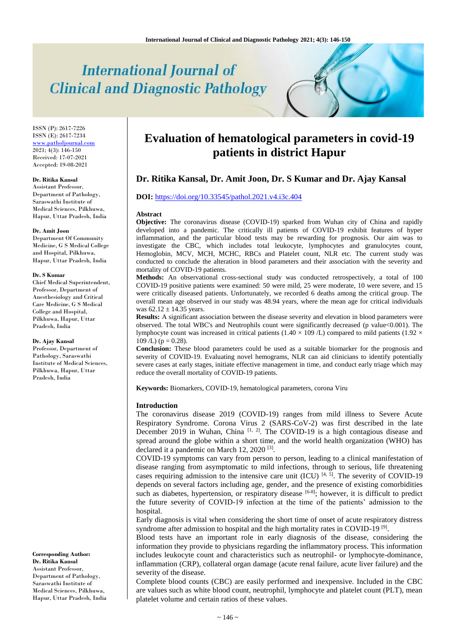# **International Journal of Clinical and Diagnostic Pathology**

ISSN (P): 2617-7226 ISSN (E): 2617-7234 [www.patholjournal.com](http://www.patholjournal.com/)  $2021; 4(3): 146-150$ Received: 17-07-2021 Accepted: 19-08-2021

#### **Dr. Ritika Kansal**

Assistant Professor, Department of Pathology, Saraswathi Institute of Medical Sciences, Pilkhuwa, Hapur, Uttar Pradesh, India

#### **Dr. Amit Joon**

Department Of Community Medicine, G S Medical College and Hospital, Pilkhuwa, Hapur, Uttar Pradesh, India

#### **Dr. S Kumar**

Chief Medical Superintendent, Professor, Department of Anesthesiology and Critical Care Medicine, G S Medical College and Hospital, Pilkhuwa, Hapur, Uttar Pradesh, India

#### **Dr. Ajay Kansal**

Professor, Department of Pathology, Saraswathi Institute of Medical Sciences, Pilkhuwa, Hapur, Uttar Pradesh, India

**Corresponding Author: Dr. Ritika Kansal** Assistant Professor, Department of Pathology, Saraswathi Institute of Medical Sciences, Pilkhuwa, Hapur, Uttar Pradesh, India

# **Evaluation of hematological parameters in covid-19 patients in district Hapur**

# **Dr. Ritika Kansal, Dr. Amit Joon, Dr. S Kumar and Dr. Ajay Kansal**

# **DOI:** <https://doi.org/10.33545/pathol.2021.v4.i3c.404>

#### **Abstract**

**Objective:** The coronavirus disease (COVID-19) sparked from Wuhan city of China and rapidly developed into a pandemic. The critically ill patients of COVID-19 exhibit features of hyper inflammation, and the particular blood tests may be rewarding for prognosis. Our aim was to investigate the CBC, which includes total leukocyte, lymphocytes and granulocytes count, Hemoglobin, MCV, MCH, MCHC, RBCs and Platelet count, NLR etc. The current study was conducted to conclude the alteration in blood parameters and their association with the severity and mortality of COVID-19 patients.

**Methods:** An observational cross-sectional study was conducted retrospectively, a total of 100 COVID-19 positive patients were examined: 50 were mild, 25 were moderate, 10 were severe, and 15 were critically diseased patients. Unfortunately, we recorded 6 deaths among the critical group. The overall mean age observed in our study was 48.94 years, where the mean age for critical individuals was  $62.12 \pm 14.35$  years.

**Results:** A significant association between the disease severity and elevation in blood parameters were observed. The total WBC's and Neutrophils count were significantly decreased (p value<0.001). The lymphocyte count was increased in critical patients (1.40  $\times$  109 /L) compared to mild patients (1.92  $\times$  $109$  /L) (p = 0.28).

**Conclusion:** These blood parameters could be used as a suitable biomarker for the prognosis and severity of COVID-19. Evaluating novel hemograms, NLR can aid clinicians to identify potentially severe cases at early stages, initiate effective management in time, and conduct early triage which may reduce the overall mortality of COVID-19 patients.

**Keywords:** Biomarkers, COVID-19, hematological parameters, corona Viru

#### **Introduction**

The coronavirus disease 2019 (COVID-19) ranges from mild illness to Severe Acute Respiratory Syndrome. Corona Virus 2 (SARS-CoV-2) was first described in the late December 2019 in Wuhan, China  $[1, 2]$ . The COVID-19 is a high contagious disease and spread around the globe within a short time, and the world health organization (WHO) has declared it a pandemic on March 12, 2020<sup>[3]</sup>.

COVID-19 symptoms can vary from person to person, leading to a clinical manifestation of disease ranging from asymptomatic to mild infections, through to serious, life threatening cases requiring admission to the intensive care unit  $(ICU)$   $[4, 5]$ . The severity of COVID-19 depends on several factors including age, gender, and the presence of existing comorbidities such as diabetes, hypertension, or respiratory disease [6-8]; however, it is difficult to predict the future severity of COVID-19 infection at the time of the patients' admission to the hospital.

Early diagnosis is vital when considering the short time of onset of acute respiratory distress syndrome after admission to hospital and the high mortality rates in COVID-19<sup>[9]</sup>.

Blood tests have an important role in early diagnosis of the disease, considering the information they provide to physicians regarding the inflammatory process. This information includes leukocyte count and characteristics such as neutrophil- or lymphocyte-dominance, inflammation (CRP), collateral organ damage (acute renal failure, acute liver failure) and the severity of the disease.

Complete blood counts (CBC) are easily performed and inexpensive. Included in the CBC are values such as white blood count, neutrophil, lymphocyte and platelet count (PLT), mean platelet volume and certain ratios of these values.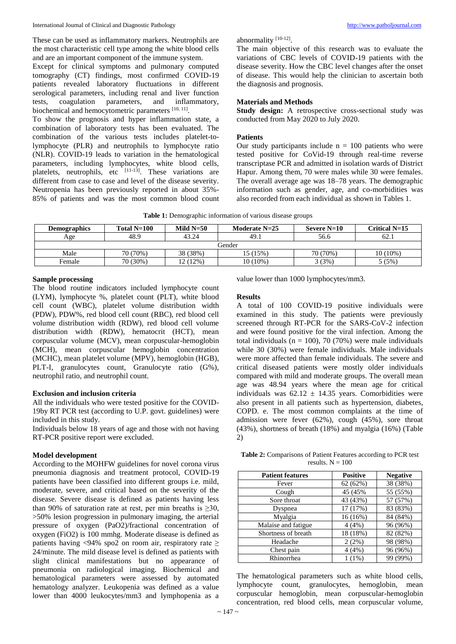These can be used as inflammatory markers. Neutrophils are the most characteristic cell type among the white blood cells and are an important component of the immune system.

Except for clinical symptoms and pulmonary computed tomography (CT) findings, most confirmed COVID-19 patients revealed laboratory fluctuations in different serological parameters, including renal and liver function tests, coagulation parameters, and inflammatory, tests, coagulation parameters, and biochemical and hemocytometric parameters [10, 11].

To show the prognosis and hyper inflammation state, a combination of laboratory tests has been evaluated. The combination of the various tests includes platelet-tolymphocyte (PLR) and neutrophils to lymphocyte ratio (NLR). COVID-19 leads to variation in the hematological parameters, including lymphocytes, white blood cells, platelets, neutrophils, etc  $[11-13]$ . These variations are different from case to case and level of the disease severity. Neutropenia has been previously reported in about 35%- 85% of patients and was the most common blood count abnormality<sup>[10-12]</sup>.

The main objective of this research was to evaluate the variations of CBC levels of COVID-19 patients with the disease severity. How the CBC level changes after the onset of disease. This would help the clinician to ascertain both the diagnosis and prognosis.

## **Materials and Methods**

Study design: A retrospective cross-sectional study was conducted from May 2020 to July 2020.

#### **Patients**

Our study participants include  $n = 100$  patients who were tested positive for CoVid-19 through real-time reverse transcriptase PCR and admitted in isolation wards of District Hapur. Among them, 70 were males while 30 were females. The overall average age was 18–78 years. The demographic information such as gender, age, and co-morbidities was also recorded from each individual as shown in Tables 1.

| <b>Demographics</b> | Total $N=100$ | Mild $N=50$ | Moderate $N=25$ | Severe $N=10$ | Critical $N=15$ |  |
|---------------------|---------------|-------------|-----------------|---------------|-----------------|--|
| Age                 | 48.9          | 43.24       | 49.1            | 56.6          | 62.1            |  |
| Gender              |               |             |                 |               |                 |  |
| Male                | 70 (70%)      | 38 (38%)    | 15 (15%)        | 70 (70%)      | 10 (10%)        |  |
| Female              | 70 (30%)      | 12 (12%)    | 10 (10%)        | 3(3%)         | 5(5%)           |  |

**Table 1:** Demographic information of various disease groups

#### **Sample processing**

The blood routine indicators included lymphocyte count (LYM), lymphocyte %, platelet count (PLT), white blood cell count (WBC), platelet volume distribution width (PDW), PDW%, red blood cell count (RBC), red blood cell volume distribution width (RDW), red blood cell volume distribution width (RDW), hematocrit (HCT), mean corpuscular volume (MCV), mean corpuscular-hemoglobin (MCH), mean corpuscular hemoglobin concentration (MCHC), mean platelet volume (MPV), hemoglobin (HGB), PLT-I, granulocytes count, Granulocyte ratio (G%), neutrophil ratio, and neutrophil count.

# **Exclusion and inclusion criteria**

All the individuals who were tested positive for the COVID-19by RT PCR test (according to U.P. govt. guidelines) were included in this study.

Individuals below 18 years of age and those with not having RT-PCR positive report were excluded.

# **Model development**

According to the MOHFW guidelines for novel corona virus pneumonia diagnosis and treatment protocol, COVID-19 patients have been classified into different groups i.e. mild, moderate, severe, and critical based on the severity of the disease. Severe disease is defined as patients having less than 90% of saturation rate at rest, per min breaths is  $\geq 30$ , >50% lesion progression in pulmonary imaging, the arterial pressure of oxygen (PaO2)/fractional concentration of oxygen (FiO2) is 100 mmhg. Moderate disease is defined as patients having <94% spo2 on room air, respiratory rate  $\geq$ 24/minute. The mild disease level is defined as patients with slight clinical manifestations but no appearance of pneumonia on radiological imaging. Biochemical and hematological parameters were assessed by automated hematology analyzer. Leukopenia was defined as a value lower than 4000 leukocytes/mm3 and lymphopenia as a value lower than 1000 lymphocytes/mm3.

## **Results**

A total of 100 COVID-19 positive individuals were examined in this study. The patients were previously screened through RT-PCR for the SARS-CoV-2 infection and were found positive for the viral infection. Among the total individuals ( $n = 100$ ), 70 (70%) were male individuals while 30 (30%) were female individuals. Male individuals were more affected than female individuals. The severe and critical diseased patients were mostly older individuals compared with mild and moderate groups. The overall mean age was 48.94 years where the mean age for critical individuals was  $62.12 \pm 14.35$  years. Comorbidities were also present in all patients such as hypertension, diabetes, COPD. e. The most common complaints at the time of admission were fever (62%), cough (45%), sore throat (43%), shortness of breath (18%) and myalgia (16%) (Table 2)

**Table 2:** Comparisons of Patient Features according to PCR test results.  $N = 100$ 

| <b>Patient features</b> | <b>Positive</b> | <b>Negative</b> |
|-------------------------|-----------------|-----------------|
| Fever                   | 62(62%)         | 38 (38%)        |
| Cough                   | 45 (45%)        | 55 (55%)        |
| Sore throat             | 43 (43%)        | 57 (57%)        |
| Dyspnea                 | 17 (17%)        | 83 (83%)        |
| Myalgia                 | 16 (16%)        | 84 (84%)        |
| Malaise and fatigue     | 4(4%)           | 96 (96%)        |
| Shortness of breath     | 18 (18%)        | 82 (82%)        |
| Headache                | 2(2%)           | 98 (98%)        |
| Chest pain              | 4(4%)           | 96 (96%)        |
| Rhinorrhea              | $1(1\%)$        | 99 (99%)        |

The hematological parameters such as white blood cells, lymphocyte count, granulocytes, hemoglobin, mean corpuscular hemoglobin, mean corpuscular-hemoglobin concentration, red blood cells, mean corpuscular volume,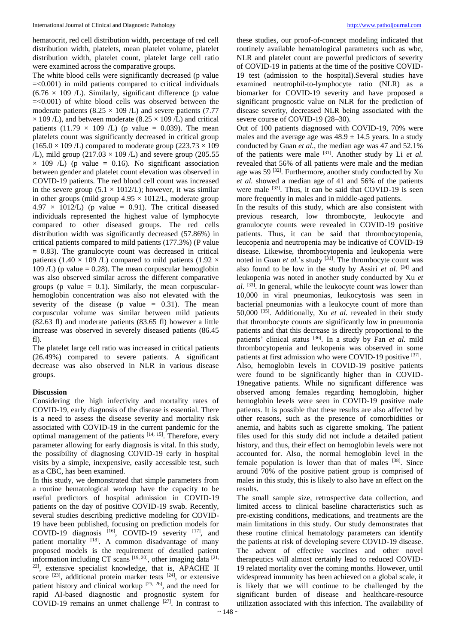hematocrit, red cell distribution width, percentage of red cell distribution width, platelets, mean platelet volume, platelet distribution width, platelet count, platelet large cell ratio were examined across the comparative groups.

The white blood cells were significantly decreased (p value =<0.001) in mild patients compared to critical individuals  $(6.76 \times 109)$  /L). Similarly, significant difference (p value =<0.001) of white blood cells was observed between the moderate patients (8.25  $\times$  109 /L) and severe patients (7.77  $\times$  109 /L), and between moderate (8.25  $\times$  109 /L) and critical patients (11.79  $\times$  109 /L) (p value = 0.039). The mean platelets count was significantly decreased in critical group  $(165.0 \times 109$  /L) compared to moderate group  $(223.73 \times 109)$  $/L$ ), mild group (217.03  $\times$  109  $/L$ ) and severe group (205.55  $\times$  109 /L) (p value = 0.16). No significant association between gender and platelet count elevation was observed in COVID-19 patients. The red blood cell count was increased in the severe group  $(5.1 \times 1012/L)$ ; however, it was similar in other groups (mild group  $4.95 \times 1012$ /L, moderate group  $4.97 \times 1012$ /L) (p value = 0.91). The critical diseased individuals represented the highest value of lymphocyte compared to other diseased groups. The red cells distribution width was significantly decreased (57.86%) in critical patients compared to mild patients (177.3%) (P value  $= 0.83$ ). The granulocyte count was decreased in critical patients (1.40  $\times$  109 /L) compared to mild patients (1.92  $\times$ 109  $\ell$ ) (p value = 0.28). The mean corpuscular hemoglobin was also observed similar across the different comparative groups (p value  $= 0.1$ ). Similarly, the mean corpuscularhemoglobin concentration was also not elevated with the severity of the disease (p value  $= 0.31$ ). The mean corpuscular volume was similar between mild patients (82.63 fl) and moderate patients (83.65 fl) however a little increase was observed in severely diseased patients (86.45 fl).

The platelet large cell ratio was increased in critical patients (26.49%) compared to severe patients. A significant decrease was also observed in NLR in various disease groups.

#### **Discussion**

Considering the high infectivity and mortality rates of COVID-19, early diagnosis of the disease is essential. There is a need to assess the disease severity and mortality risk associated with COVID-19 in the current pandemic for the optimal management of the patients [14, 15]. Therefore, every parameter allowing for early diagnosis is vital. In this study, the possibility of diagnosing COVID-19 early in hospital visits by a simple, inexpensive, easily accessible test, such as a CBC, has been examined.

In this study, we demonstrated that simple parameters from a routine hematological workup have the capacity to be useful predictors of hospital admission in COVID-19 patients on the day of positive COVID-19 swab. Recently, several studies describing predictive modeling for COVID-19 have been published, focusing on prediction models for COVID-19 diagnosis  $[16]$ , COVID-19 severity  $[17]$ , and patient mortality [18]. A common disadvantage of many proposed models is the requirement of detailed patient information including CT scans  $[19, 20]$ , other imaging data  $[21, 20]$ 22] , extensive specialist knowledge, that is, APACHE II score  $[23]$ , additional protein marker tests  $[24]$ , or extensive patient history and clinical workup  $[25, 26]$ , and the need for rapid AI-based diagnostic and prognostic system for COVID-19 remains an unmet challenge  $[27]$ . In contrast to these studies, our proof-of-concept modeling indicated that routinely available hematological parameters such as wbc, NLR and platelet count are powerful predictors of severity of COVID-19 in patients at the time of the positive COVID-19 test (admission to the hospital).Several studies have examined neutrophil-to-lymphocyte ratio (NLR) as a biomarker for COVID-19 severity and have proposed a significant prognostic value on NLR for the prediction of disease severity, decreased NLR being associated with the severe course of COVID-19 (28–30).

Out of 100 patients diagnosed with COVID-19, 70% were males and the average age was  $48.9 \pm 14.5$  years. In a study conducted by Guan *et al.*, the median age was 47 and 52.1% of the patients were male [31]. Another study by Li *et al.* revealed that 56% of all patients were male and the median age was 59<sup>[32]</sup>. Furthermore, another study conducted by Xu *et al.* showed a median age of 41 and 56% of the patients were male <sup>[33]</sup>. Thus, it can be said that COVID-19 is seen more frequently in males and in middle-aged patients.

In the results of this study, which are also consistent with previous research, low thrombocyte, leukocyte and granulocyte counts were revealed in COVID-19 positive patients. Thus, it can be said that thrombocytopenia, leucopenia and neutropenia may be indicative of COVID-19 disease. Likewise, thrombocytopenia and leukopenia were noted in Guan *et al.*'s study <sup>[31]</sup>. The thrombocyte count was also found to be low in the study by Assiri *et al.* [34] and leukopenia was noted in another study conducted by Xu *et al.* [33] . In general, while the leukocyte count was lower than 10,000 in viral pneumonias, leukocytosis was seen in bacterial pneumonias with a leukocyte count of more than 50,000<sup> $[35]$ </sup>. Additionally, Xu *et al.* revealed in their study that thrombocyte counts are significantly low in pneumonia patients and that this decrease is directly proportional to the patients' clinical status [36]. In a study by Fan *et al.* mild thrombocytopenia and leukopenia was observed in some patients at first admission who were COVID-19 positive [37]. Also, hemoglobin levels in COVID-19 positive patients were found to be significantly higher than in COVID-19negative patients. While no significant difference was observed among females regarding hemoglobin, higher hemoglobin levels were seen in COVID-19 positive male patients. It is possible that these results are also affected by other reasons, such as the presence of comorbidities or anemia, and habits such as cigarette smoking. The patient files used for this study did not include a detailed patient history, and thus, their effect on hemoglobin levels were not accounted for. Also, the normal hemoglobin level in the female population is lower than that of males [38]. Since around 70% of the positive patient group is comprised of males in this study, this is likely to also have an effect on the results.

The small sample size, retrospective data collection, and limited access to clinical baseline characteristics such as pre-existing conditions, medications, and treatments are the main limitations in this study. Our study demonstrates that these routine clinical hematology parameters can identify the patients at risk of developing severe COVID-19 disease. The advent of effective vaccines and other novel therapeutics will almost certainly lead to reduced COVID-19 related mortality over the coming months. However, until widespread immunity has been achieved on a global scale, it is likely that we will continue to be challenged by the significant burden of disease and healthcare-resource utilization associated with this infection. The availability of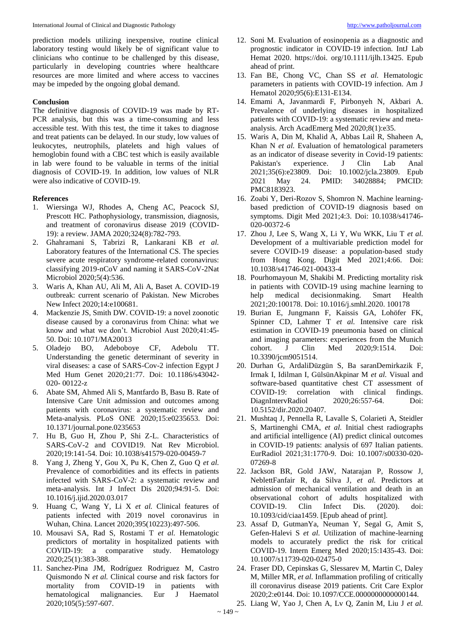prediction models utilizing inexpensive, routine clinical laboratory testing would likely be of significant value to clinicians who continue to be challenged by this disease, particularly in developing countries where healthcare resources are more limited and where access to vaccines may be impeded by the ongoing global demand.

# **Conclusion**

The definitive diagnosis of COVID-19 was made by RT-PCR analysis, but this was a time-consuming and less accessible test. With this test, the time it takes to diagnose and treat patients can be delayed. In our study, low values of leukocytes, neutrophils, platelets and high values of hemoglobin found with a CBC test which is easily available in lab were found to be valuable in terms of the initial diagnosis of COVID-19. In addition, low values of NLR were also indicative of COVID-19.

# **References**

- 1. Wiersinga WJ, Rhodes A, Cheng AC, Peacock SJ, Prescott HC. Pathophysiology, transmission, diagnosis, and treatment of coronavirus disease 2019 (COVID-19): a review. JAMA 2020;324(8):782-793.
- 2. Ghahramani S, Tabrizi R, Lankarani KB *et al.* Laboratory features of the International CS. The species severe acute respiratory syndrome-related coronavirus: classifying 2019-nCoV and naming it SARS-CoV-2Nat Microbiol 2020;5(4):536.
- 3. Waris A, Khan AU, Ali M, Ali A, Baset A. COVID-19 outbreak: current scenario of Pakistan. New Microbes New Infect 2020;14:e100681.
- 4. Mackenzie JS, Smith DW. COVID-19: a novel zoonotic disease caused by a coronavirus from China: what we know and what we don't. Microbiol Aust 2020;41:45- 50. Doi: 10.1071/MA20013
- 5. Oladejo BO, Adeboboye CF, Adebolu TT. Understanding the genetic determinant of severity in viral diseases: a case of SARS-Cov-2 infection Egypt J Med Hum Genet 2020;21:77. Doi: 10.1186/s43042- 020- 00122-z
- 6. Abate SM, Ahmed Ali S, Mantfardo B, Basu B. Rate of Intensive Care Unit admission and outcomes among patients with coronavirus: a systematic review and Meta-analysis. PLoS ONE 2020;15:e0235653. Doi: 10.1371/journal.pone.0235653
- 7. Hu B, Guo H, Zhou P, Shi Z-L. Characteristics of SARS-CoV-2 and COVID19. Nat Rev Microbiol. 2020;19:141-54. Doi: 10.1038/s41579-020-00459-7
- 8. Yang J, Zheng Y, Gou X, Pu K, Chen Z, Guo Q *et al.* Prevalence of comorbidities and its effects in patients infected with SARS-CoV-2: a systematic review and meta-analysis. Int J Infect Dis 2020;94:91-5. Doi: 10.1016/j.ijid.2020.03.017
- 9. Huang C, Wang Y, Li X *et al.* Clinical features of patients infected with 2019 novel coronavirus in Wuhan, China. Lancet 2020;395(10223):497-506.
- 10. Mousavi SA, Rad S, Rostami T *et al.* Hematologic predictors of mortality in hospitalized patients with COVID-19: a comparative study. Hematology 2020;25(1):383-388.
- 11. Sanchez-Pina JM, Rodríguez Rodriguez M, Castro Quismondo N *et al.* Clinical course and risk factors for mortality from COVID-19 in patients with hematological malignancies. Eur J Haematol 2020;105(5):597-607.
- 12. Soni M. Evaluation of eosinopenia as a diagnostic and prognostic indicator in COVID-19 infection. IntJ Lab Hemat 2020. https://doi. org/10.1111/ijlh.13425. Epub ahead of print.
- 13. Fan BE, Chong VC, Chan SS *et al.* Hematologic parameters in patients with COVID-19 infection. Am J Hematol 2020;95(6):E131-E134.
- 14. Emami A, Javanmardi F, Pirbonyeh N, Akbari A. Prevalence of underlying diseases in hospitalized patients with COVID-19: a systematic review and metaanalysis. Arch AcadEmerg Med 2020;8(1):e35.
- 15. Waris A, Din M, Khalid A, Abbas Lail R, Shaheen A, Khan N *et al.* Evaluation of hematological parameters as an indicator of disease severity in Covid-19 patients: Pakistan's experience. J Clin Lab Anal 2021;35(6):e23809. Doi: 10.1002/jcla.23809. Epub 2021 May 24. PMID: 34028884; PMCID: PMC8183923.
- 16. Zoabi Y, Deri-Rozov S, Shomron N. Machine learningbased prediction of COVID-19 diagnosis based on symptoms. Digit Med 2021;4:3. Doi: 10.1038/s41746- 020-00372-6
- 17. Zhou J, Lee S, Wang X, Li Y, Wu WKK, Liu T *et al.* Development of a multivariable prediction model for severe COVID-19 disease: a population-based study from Hong Kong. Digit Med 2021;4:66. Doi: 10.1038/s41746-021-00433-4
- 18. Pourhomayoun M, Shakibi M. Predicting mortality risk in patients with COVID-19 using machine learning to help medical decisionmaking. Smart Health 2021;20:100178. Doi: 10.1016/j.smhl.2020. 100178
- 19. Burian E, Jungmann F, Kaissis GA, Lohöfer FK, Spinner CD, Lahmer T *et al.* Intensive care risk estimation in COVID-19 pneumonia based on clinical and imaging parameters: experiences from the Munich cohort. J Clin Med 2020;9:1514. Doi: 10.3390/jcm9051514.
- 20. Durhan G, ArdaliDüzgün S, Ba saranDemirkazik F, Irmak I, Idilman I, GülsünAkpinar M *et al.* Visual and software-based quantitative chest CT assessment of COVID-19: correlation with clinical findings. DiagnIntervRadiol 2020;26:557-64. Doi: 10.5152/dir.2020.20407.
- 21. Mushtaq J, Pennella R, Lavalle S, Colarieti A, Steidler S, Martinenghi CMA, *et al.* Initial chest radiographs and artificial intelligence (AI) predict clinical outcomes in COVID-19 patients: analysis of 697 Italian patients. EurRadiol 2021;31:1770-9. Doi: 10.1007/s00330-020- 07269-8
- 22. Jackson BR, Gold JAW, Natarajan P, Rossow J, NeblettFanfair R, da Silva J, *et al.* Predictors at admission of mechanical ventilation and death in an observational cohort of adults hospitalized with COVID-19. Clin Infect Dis. (2020). doi: 10.1093/cid/ciaa1459. [Epub ahead of print].
- 23. Assaf D, GutmanYa, Neuman Y, Segal G, Amit S, Gefen-Halevi S *et al.* Utilization of machine-learning models to accurately predict the risk for critical COVID-19. Intern Emerg Med 2020;15:1435-43. Doi: 10.1007/s11739-020-02475-0
- 24. Fraser DD, Cepinskas G, Slessarev M, Martin C, Daley M, Miller MR, *et al.* Inflammation profiling of critically ill coronavirus disease 2019 patients. Crit Care Explor 2020;2:e0144. Doi: 10.1097/CCE.0000000000000144.
- 25. Liang W, Yao J, Chen A, Lv Q, Zanin M, Liu J *et al.*